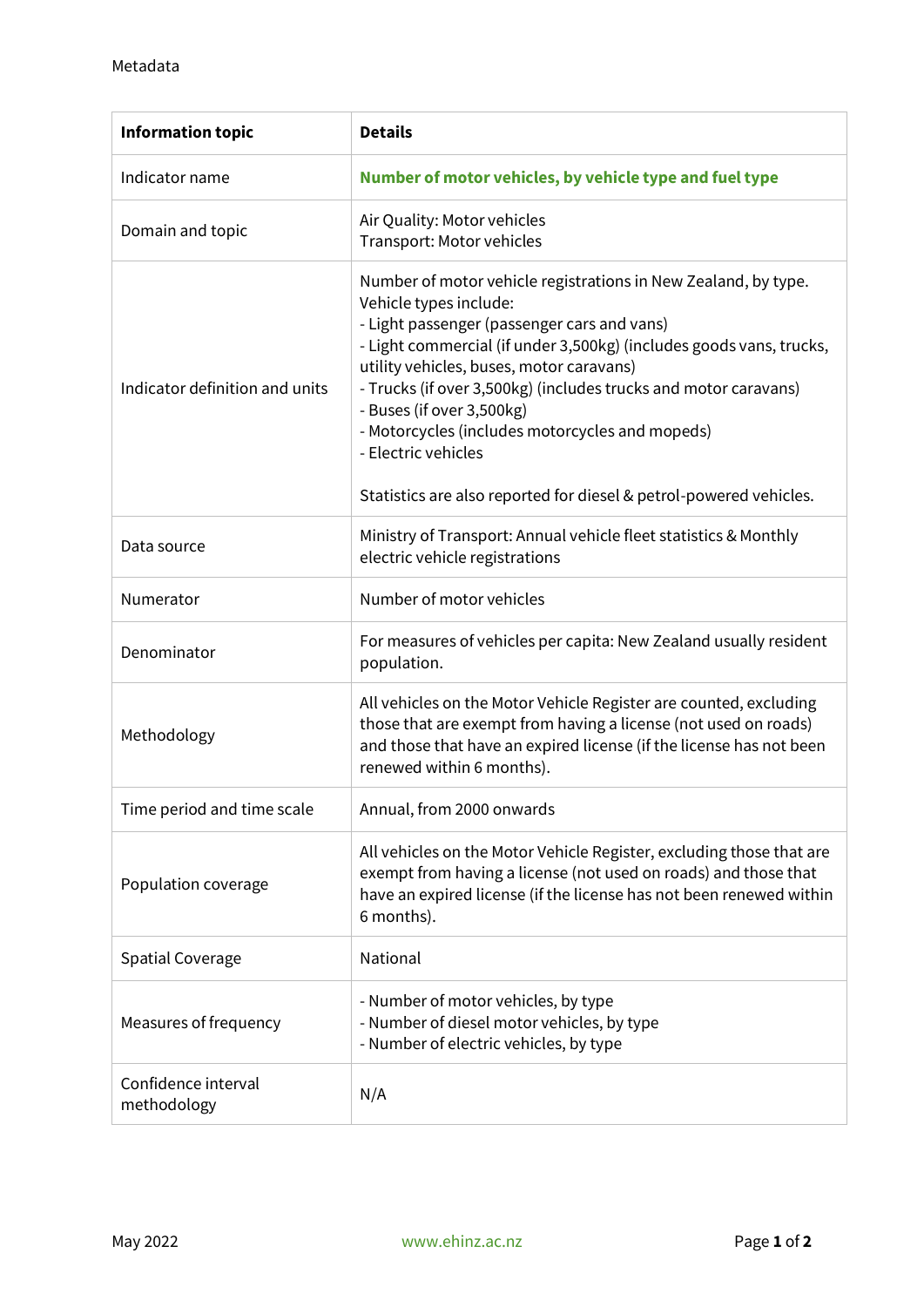| <b>Information topic</b>           | <b>Details</b>                                                                                                                                                                                                                                                                                                                                                                                                                                                                                             |
|------------------------------------|------------------------------------------------------------------------------------------------------------------------------------------------------------------------------------------------------------------------------------------------------------------------------------------------------------------------------------------------------------------------------------------------------------------------------------------------------------------------------------------------------------|
| Indicator name                     | Number of motor vehicles, by vehicle type and fuel type                                                                                                                                                                                                                                                                                                                                                                                                                                                    |
| Domain and topic                   | Air Quality: Motor vehicles<br>Transport: Motor vehicles                                                                                                                                                                                                                                                                                                                                                                                                                                                   |
| Indicator definition and units     | Number of motor vehicle registrations in New Zealand, by type.<br>Vehicle types include:<br>- Light passenger (passenger cars and vans)<br>- Light commercial (if under 3,500kg) (includes goods vans, trucks,<br>utility vehicles, buses, motor caravans)<br>- Trucks (if over 3,500kg) (includes trucks and motor caravans)<br>- Buses (if over 3,500kg)<br>- Motorcycles (includes motorcycles and mopeds)<br>- Electric vehicles<br>Statistics are also reported for diesel & petrol-powered vehicles. |
| Data source                        | Ministry of Transport: Annual vehicle fleet statistics & Monthly<br>electric vehicle registrations                                                                                                                                                                                                                                                                                                                                                                                                         |
| Numerator                          | Number of motor vehicles                                                                                                                                                                                                                                                                                                                                                                                                                                                                                   |
| Denominator                        | For measures of vehicles per capita: New Zealand usually resident<br>population.                                                                                                                                                                                                                                                                                                                                                                                                                           |
| Methodology                        | All vehicles on the Motor Vehicle Register are counted, excluding<br>those that are exempt from having a license (not used on roads)<br>and those that have an expired license (if the license has not been<br>renewed within 6 months).                                                                                                                                                                                                                                                                   |
| Time period and time scale         | Annual, from 2000 onwards                                                                                                                                                                                                                                                                                                                                                                                                                                                                                  |
| Population coverage                | All vehicles on the Motor Vehicle Register, excluding those that are<br>exempt from having a license (not used on roads) and those that<br>have an expired license (if the license has not been renewed within<br>6 months).                                                                                                                                                                                                                                                                               |
| <b>Spatial Coverage</b>            | National                                                                                                                                                                                                                                                                                                                                                                                                                                                                                                   |
| Measures of frequency              | - Number of motor vehicles, by type<br>- Number of diesel motor vehicles, by type<br>- Number of electric vehicles, by type                                                                                                                                                                                                                                                                                                                                                                                |
| Confidence interval<br>methodology | N/A                                                                                                                                                                                                                                                                                                                                                                                                                                                                                                        |